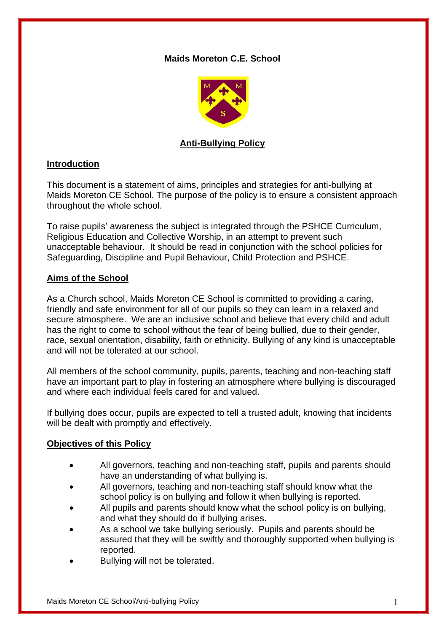## **Maids Moreton C.E. School**



# **Anti-Bullying Policy**

## **Introduction**

This document is a statement of aims, principles and strategies for anti-bullying at Maids Moreton CE School. The purpose of the policy is to ensure a consistent approach throughout the whole school.

To raise pupils' awareness the subject is integrated through the PSHCE Curriculum, Religious Education and Collective Worship, in an attempt to prevent such unacceptable behaviour. It should be read in conjunction with the school policies for Safeguarding, Discipline and Pupil Behaviour, Child Protection and PSHCE.

### **Aims of the School**

As a Church school, Maids Moreton CE School is committed to providing a caring, friendly and safe environment for all of our pupils so they can learn in a relaxed and secure atmosphere. We are an inclusive school and believe that every child and adult has the right to come to school without the fear of being bullied, due to their gender, race, sexual orientation, disability, faith or ethnicity. Bullying of any kind is unacceptable and will not be tolerated at our school.

All members of the school community, pupils, parents, teaching and non-teaching staff have an important part to play in fostering an atmosphere where bullying is discouraged and where each individual feels cared for and valued.

If bullying does occur, pupils are expected to tell a trusted adult, knowing that incidents will be dealt with promptly and effectively.

### **Objectives of this Policy**

- All governors, teaching and non-teaching staff, pupils and parents should have an understanding of what bullying is.
- All governors, teaching and non-teaching staff should know what the school policy is on bullying and follow it when bullying is reported.
- All pupils and parents should know what the school policy is on bullying, and what they should do if bullying arises.
- As a school we take bullying seriously. Pupils and parents should be assured that they will be swiftly and thoroughly supported when bullying is reported.
- Bullying will not be tolerated.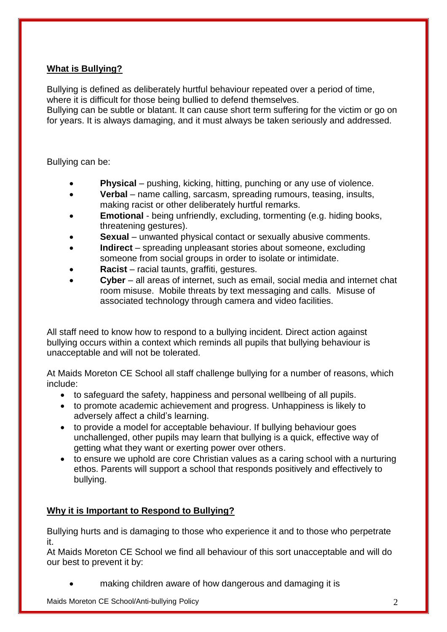# **What is Bullying?**

Bullying is defined as deliberately hurtful behaviour repeated over a period of time, where it is difficult for those being bullied to defend themselves.

Bullying can be subtle or blatant. It can cause short term suffering for the victim or go on for years. It is always damaging, and it must always be taken seriously and addressed.

Bullying can be:

- **Physical** pushing, kicking, hitting, punching or any use of violence.
- **Verbal** name calling, sarcasm, spreading rumours, teasing, insults, making racist or other deliberately hurtful remarks.
- **Emotional**  being unfriendly, excluding, tormenting (e.g. hiding books, threatening gestures).
- **Sexual** unwanted physical contact or sexually abusive comments.
- **Indirect**  spreading unpleasant stories about someone, excluding someone from social groups in order to isolate or intimidate.
- **Racist**  racial taunts, graffiti, gestures.
- **Cyber**  all areas of internet, such as email, social media and internet chat room misuse. Mobile threats by text messaging and calls. Misuse of associated technology through camera and video facilities.

All staff need to know how to respond to a bullying incident. Direct action against bullying occurs within a context which reminds all pupils that bullying behaviour is unacceptable and will not be tolerated.

At Maids Moreton CE School all staff challenge bullying for a number of reasons, which include:

- to safeguard the safety, happiness and personal wellbeing of all pupils.
- to promote academic achievement and progress. Unhappiness is likely to adversely affect a child's learning.
- to provide a model for acceptable behaviour. If bullying behaviour goes unchallenged, other pupils may learn that bullying is a quick, effective way of getting what they want or exerting power over others.
- to ensure we uphold are core Christian values as a caring school with a nurturing ethos. Parents will support a school that responds positively and effectively to bullying.

# **Why it is Important to Respond to Bullying?**

Bullying hurts and is damaging to those who experience it and to those who perpetrate it.

At Maids Moreton CE School we find all behaviour of this sort unacceptable and will do our best to prevent it by:

making children aware of how dangerous and damaging it is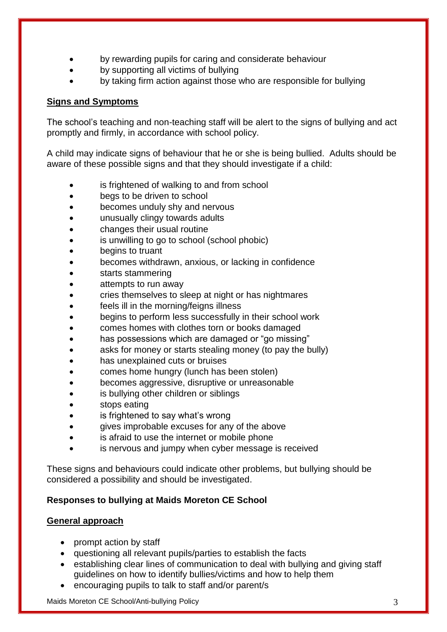- by rewarding pupils for caring and considerate behaviour
- by supporting all victims of bullying
- by taking firm action against those who are responsible for bullying

## **Signs and Symptoms**

The school's teaching and non-teaching staff will be alert to the signs of bullying and act promptly and firmly, in accordance with school policy.

A child may indicate signs of behaviour that he or she is being bullied. Adults should be aware of these possible signs and that they should investigate if a child:

- is frightened of walking to and from school
- begs to be driven to school
- becomes unduly shy and nervous
- unusually clingy towards adults
- changes their usual routine
- is unwilling to go to school (school phobic)
- begins to truant
- becomes withdrawn, anxious, or lacking in confidence
- starts stammering
- attempts to run away
- cries themselves to sleep at night or has nightmares
- feels ill in the morning/feigns illness
- begins to perform less successfully in their school work
- comes homes with clothes torn or books damaged
- has possessions which are damaged or "go missing"
- asks for money or starts stealing money (to pay the bully)
- has unexplained cuts or bruises
- comes home hungry (lunch has been stolen)
- becomes aggressive, disruptive or unreasonable
- is bullying other children or siblings
- stops eating
- is frightened to say what's wrong
- gives improbable excuses for any of the above
- is afraid to use the internet or mobile phone
- is nervous and jumpy when cyber message is received

These signs and behaviours could indicate other problems, but bullying should be considered a possibility and should be investigated.

# **Responses to bullying at Maids Moreton CE School**

### **General approach**

- prompt action by staff
- questioning all relevant pupils/parties to establish the facts
- establishing clear lines of communication to deal with bullying and giving staff guidelines on how to identify bullies/victims and how to help them
- encouraging pupils to talk to staff and/or parent/s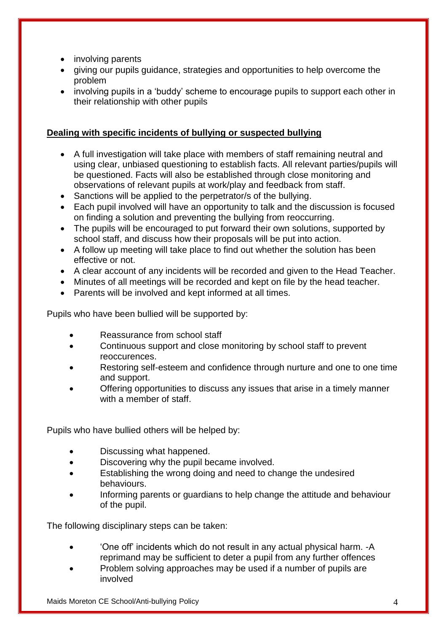- involving parents
- giving our pupils guidance, strategies and opportunities to help overcome the problem
- involving pupils in a 'buddy' scheme to encourage pupils to support each other in their relationship with other pupils

## **Dealing with specific incidents of bullying or suspected bullying**

- A full investigation will take place with members of staff remaining neutral and using clear, unbiased questioning to establish facts. All relevant parties/pupils will be questioned. Facts will also be established through close monitoring and observations of relevant pupils at work/play and feedback from staff.
- Sanctions will be applied to the perpetrator/s of the bullying.
- Each pupil involved will have an opportunity to talk and the discussion is focused on finding a solution and preventing the bullying from reoccurring.
- The pupils will be encouraged to put forward their own solutions, supported by school staff, and discuss how their proposals will be put into action.
- A follow up meeting will take place to find out whether the solution has been effective or not.
- A clear account of any incidents will be recorded and given to the Head Teacher.
- Minutes of all meetings will be recorded and kept on file by the head teacher.
- Parents will be involved and kept informed at all times.

Pupils who have been bullied will be supported by:

- Reassurance from school staff
- Continuous support and close monitoring by school staff to prevent reoccurences.
- Restoring self-esteem and confidence through nurture and one to one time and support.
- Offering opportunities to discuss any issues that arise in a timely manner with a member of staff.

Pupils who have bullied others will be helped by:

- Discussing what happened.
- Discovering why the pupil became involved.
- Establishing the wrong doing and need to change the undesired behaviours.
- Informing parents or guardians to help change the attitude and behaviour of the pupil.

The following disciplinary steps can be taken:

- 'One off' incidents which do not result in any actual physical harm. -A reprimand may be sufficient to deter a pupil from any further offences
- Problem solving approaches may be used if a number of pupils are involved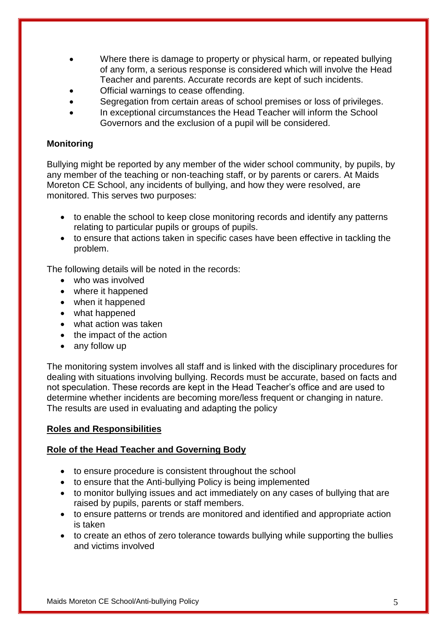- Where there is damage to property or physical harm, or repeated bullying of any form, a serious response is considered which will involve the Head Teacher and parents. Accurate records are kept of such incidents.
- Official warnings to cease offending.
- Segregation from certain areas of school premises or loss of privileges.
- In exceptional circumstances the Head Teacher will inform the School Governors and the exclusion of a pupil will be considered.

## **Monitoring**

Bullying might be reported by any member of the wider school community, by pupils, by any member of the teaching or non-teaching staff, or by parents or carers. At Maids Moreton CE School, any incidents of bullying, and how they were resolved, are monitored. This serves two purposes:

- to enable the school to keep close monitoring records and identify any patterns relating to particular pupils or groups of pupils.
- to ensure that actions taken in specific cases have been effective in tackling the problem.

The following details will be noted in the records:

- who was involved
- where it happened
- when it happened
- what happened
- what action was taken
- the impact of the action
- any follow up

The monitoring system involves all staff and is linked with the disciplinary procedures for dealing with situations involving bullying. Records must be accurate, based on facts and not speculation. These records are kept in the Head Teacher's office and are used to determine whether incidents are becoming more/less frequent or changing in nature. The results are used in evaluating and adapting the policy

### **Roles and Responsibilities**

### **Role of the Head Teacher and Governing Body**

- to ensure procedure is consistent throughout the school
- to ensure that the Anti-bullying Policy is being implemented
- to monitor bullying issues and act immediately on any cases of bullying that are raised by pupils, parents or staff members.
- to ensure patterns or trends are monitored and identified and appropriate action is taken
- to create an ethos of zero tolerance towards bullying while supporting the bullies and victims involved